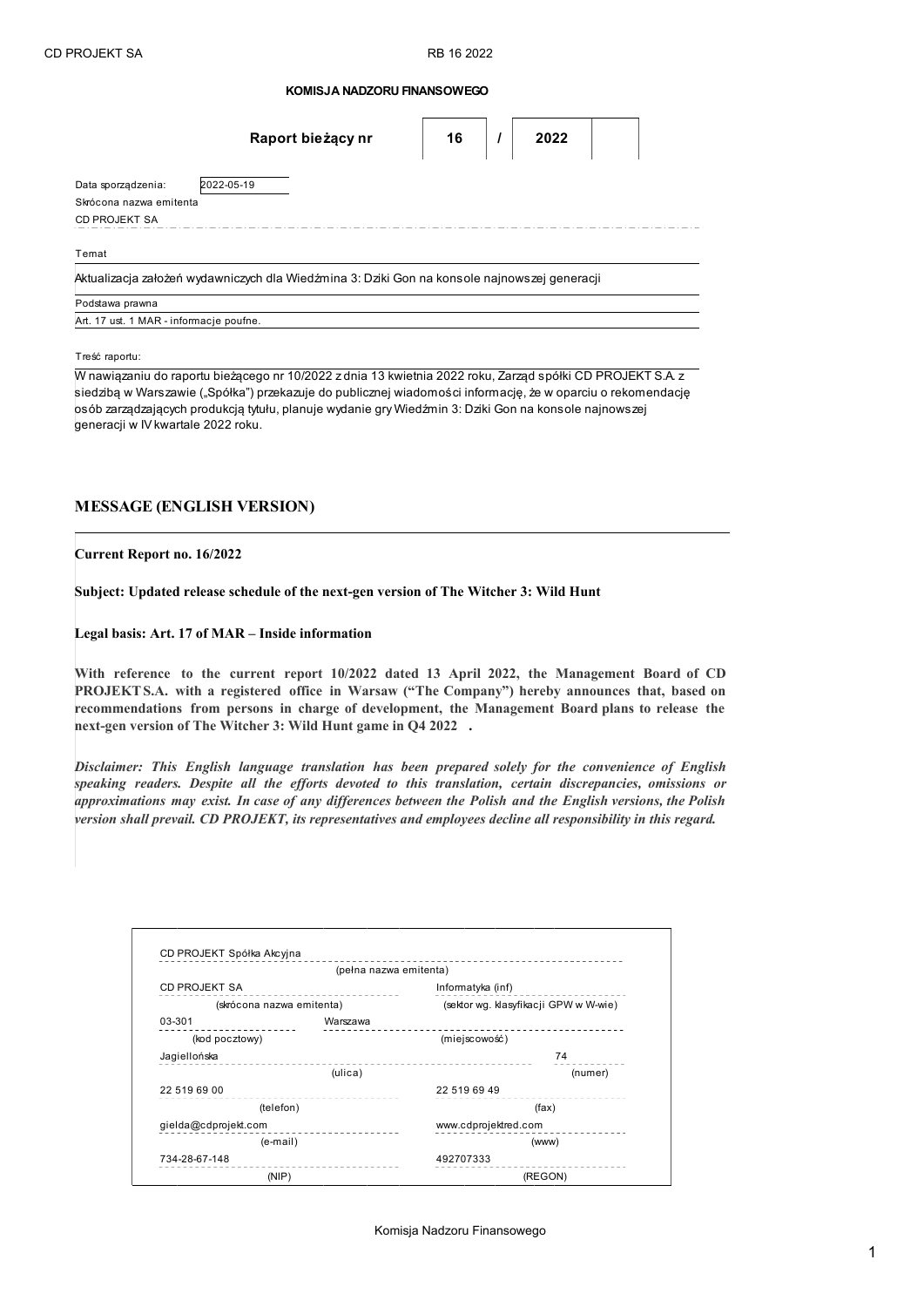## **KOMISJA NADZORU FINANSOWEGO**

|                                         | Raport bieżący nr                                                                            | 16 | 2022 |  |
|-----------------------------------------|----------------------------------------------------------------------------------------------|----|------|--|
| Data sporządzenia:                      | 2022-05-19                                                                                   |    |      |  |
| Skrócona nazwa emitenta                 |                                                                                              |    |      |  |
| CD PROJEKT SA                           |                                                                                              |    |      |  |
| Temat                                   |                                                                                              |    |      |  |
|                                         | Aktualizacja założeń wydawniczych dla Wiedźmina 3: Dziki Gon na konsole najnowszej generacji |    |      |  |
| Podstawa prawna                         |                                                                                              |    |      |  |
| Art. 17 ust. 1 MAR - informacje poufne. |                                                                                              |    |      |  |

Treść raportu:

W nawiązaniu do raportu bieżącego nr 10/2022 z dnia 13 kwietnia 2022 roku, Zarząd spółki CD PROJEKT S.A. z siedzibą w Warszawie ("Spółka") przekazuje do publicznej wiadomości informację, że w oparciu o rekomendację osób zarządzających produkcją tytułu, planuje wydanie gry Wiedźmin 3: Dziki Gon na konsole najnowszej generacji w IV kwartale 2022 roku.

## **MESSAGE (ENGLISH VERSION)**

**Current Report no. 16/2022**

**Subject: Updated release schedule of the next-gen version of The Witcher 3: Wild Hunt** 

**Legal basis: Art. 17 of MAR – Inside information**

**With reference to the current report 10/2022 dated 13 April 2022, the Management Board of CD PROJEKT S.A. with a registered office in Warsaw ("The Company") hereby announces that, based on recommendations from persons in charge of development, the Management Board plans to release the next-gen version of The Witcher 3: Wild Hunt game in Q4 2022 .** 

*Disclaimer: This English language translation has been prepared solely for the convenience of English speaking readers. Despite all the efforts devoted to this translation, certain discrepancies, omissions or approximations may exist. In case of any differences between the Polish and the English versions, the Polish version shall prevail. CD PROJEKT, its representatives and employees decline all responsibility in this regard.*

|                           | (pełna nazwa emitenta) |                                       |  |
|---------------------------|------------------------|---------------------------------------|--|
| CD PROJEKT SA             |                        | Informatyka (inf)                     |  |
| (skrócona nazwa emitenta) |                        | (sektor wg. klasyfikacji GPW w W-wie) |  |
| 03-301                    | Warszawa               |                                       |  |
| (kod pocztowy)            |                        | (miejscowość)                         |  |
| Jagiellońska              |                        | 74                                    |  |
|                           | (ulica)                | (numer)                               |  |
| 22 519 69 00              |                        | 22 519 69 49                          |  |
| (telefon)                 |                        | (fax)                                 |  |
| gielda@cdprojekt.com      |                        | www.cdprojektred.com                  |  |
| $(e-mail)$                |                        | (www)                                 |  |
| 734-28-67-148             |                        | 492707333                             |  |
| (NIP)                     |                        | (REGON)                               |  |